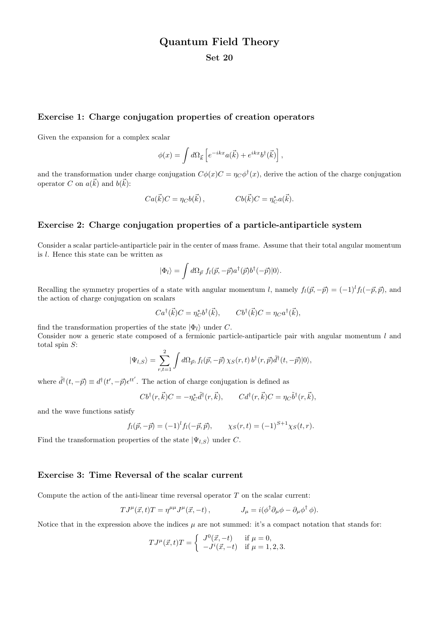# Quantum Field Theory

### Set 20

#### Exercise 1: Charge conjugation properties of creation operators

Given the expansion for a complex scalar

$$
\phi(x) = \int d\Omega_{\vec{k}} \left[ e^{-ikx} a(\vec{k}) + e^{ikx} b^{\dagger}(\vec{k}) \right],
$$

and the transformation under charge conjugation  $C\phi(x)C = \eta_C \phi^{\dagger}(x)$ , derive the action of the charge conjugation operator C on  $a(\vec{k})$  and  $b(\vec{k})$ :

$$
Ca(\vec{k})C = \eta_C b(\vec{k}), \qquad \qquad Cb(\vec{k})C = \eta_C^* a(\vec{k}).
$$

#### Exercise 2: Charge conjugation properties of a particle-antiparticle system

Consider a scalar particle-antiparticle pair in the center of mass frame. Assume that their total angular momentum is l. Hence this state can be written as

$$
|\Phi_l\rangle = \int d\Omega_{\vec{p}} f_l(\vec{p}, -\vec{p}) a^{\dagger}(\vec{p}) b^{\dagger}(-\vec{p}) |0\rangle.
$$

Recalling the symmetry properties of a state with angular momentum l, namely  $f_l(\vec{p}, -\vec{p}) = (-1)^l f_l(-\vec{p}, \vec{p})$ , and the action of charge conjugation on scalars

$$
Ca^{\dagger}(\vec{k})C = \eta_C^* b^{\dagger}(\vec{k}), \qquad C b^{\dagger}(\vec{k})C = \eta_C a^{\dagger}(\vec{k}),
$$

find the transformation properties of the state  $|\Phi_l\rangle$  under C. Consider now a generic state composed of a fermionic particle-antiparticle pair with angular momentum  $l$  and total spin  $S$ :

$$
|\Psi_{l,S}\rangle = \sum_{r,t=1}^{2} \int d\Omega_{\vec{p}}, f_{l}(\vec{p},-\vec{p}) \chi_{S}(r,t) b^{\dagger}(r,\vec{p}) \tilde{d}^{\dagger}(t,-\vec{p}) |0\rangle,
$$

where  $\tilde{d}^{\dagger}(t, -\vec{p}) \equiv d^{\dagger}(t', -\vec{p}) \epsilon^{tt'}$ . The action of charge conjugation is defined as

$$
Cb^{\dagger}(r,\vec{k})C = -\eta_C^*\tilde{d}^{\dagger}(r,\vec{k}), \qquad Cd^{\dagger}(r,\vec{k})C = \eta_C\tilde{b}^{\dagger}(r,\vec{k}),
$$

and the wave functions satisfy

$$
f_l(\vec{p}, -\vec{p}) = (-1)^l f_l(-\vec{p}, \vec{p}), \qquad \chi_S(r, t) = (-1)^{S+1} \chi_S(t, r).
$$

Find the transformation properties of the state  $|\Psi_{l,S}\rangle$  under C.

#### Exercise 3: Time Reversal of the scalar current

Compute the action of the anti-linear time reversal operator  $T$  on the scalar current:

$$
T J^{\mu}(\vec{x},t) T = \eta^{\mu\mu} J^{\mu}(\vec{x},-t) , \qquad J_{\mu} = i(\phi^{\dagger} \partial_{\mu} \phi - \partial_{\mu} \phi^{\dagger} \phi ) .
$$

Notice that in the expression above the indices  $\mu$  are not summed: it's a compact notation that stands for:

$$
T J^{\mu}(\vec{x}, t) T = \begin{cases} J^{0}(\vec{x}, -t) & \text{if } \mu = 0, \\ -J^{i}(\vec{x}, -t) & \text{if } \mu = 1, 2, 3. \end{cases}
$$